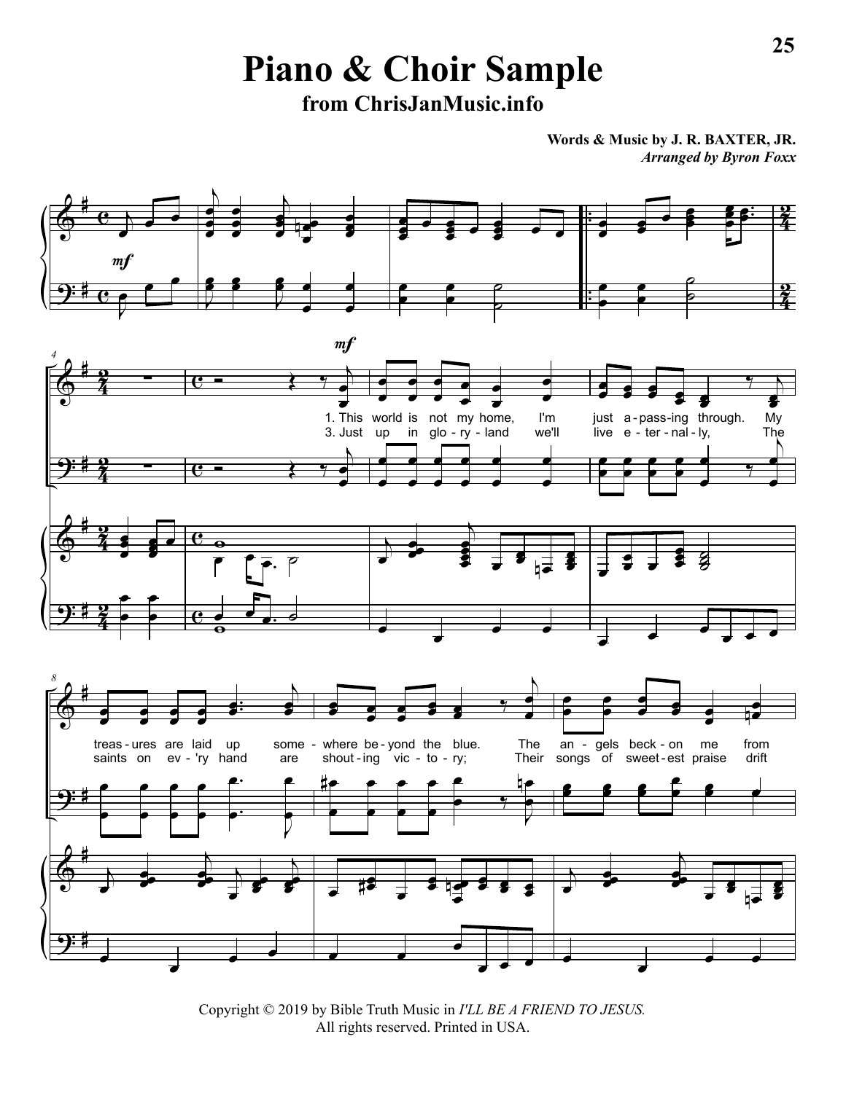**Piano & Choir Sample from ChrisJanMusic.info**

**Words & Music by J. R. BAXTER, JR.** *Arranged by Byron Foxx*



Copyright © 2019 by Bible Truth Music in *I'LL BE A FRIEND TO JESUS.* All rights reserved. Printed in USA.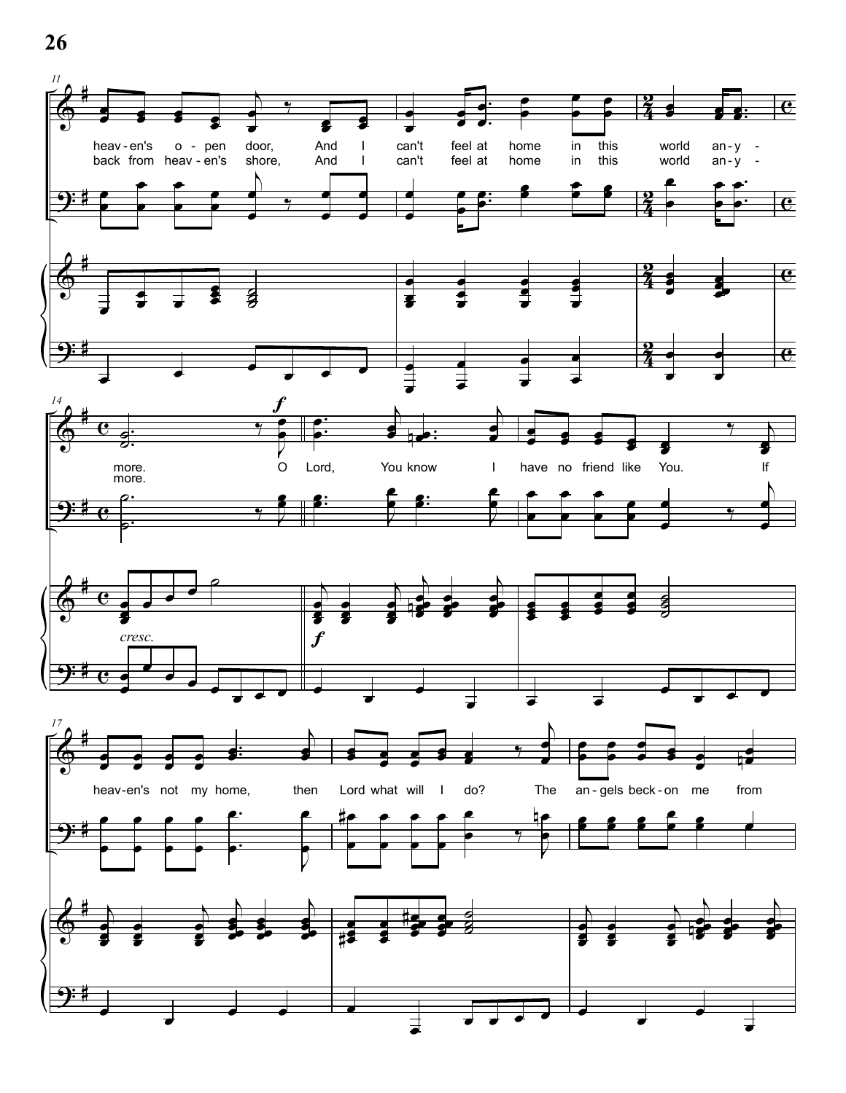